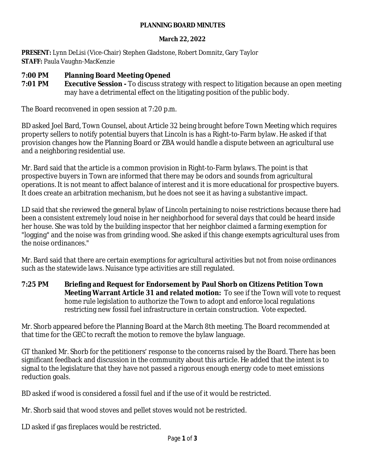#### **PLANNING BOARD MINUTES**

#### **March 22, 2022**

**PRESENT:** Lynn DeLisi (Vice-Chair) Stephen Gladstone, Robert Domnitz, Gary Taylor **STAFF:** Paula Vaughn-MacKenzie

### **7:00 PM Planning Board Meeting Opened**

**7:01 PM <b>Executive Session** - To discuss strategy with respect to litigation because an open meeting may have a detrimental effect on the litigating position of the public body.

The Board reconvened in open session at 7:20 p.m.

BD asked Joel Bard, Town Counsel, about Article 32 being brought before Town Meeting which requires property sellers to notify potential buyers that Lincoln is has a Right-to-Farm bylaw. He asked if that provision changes how the Planning Board or ZBA would handle a dispute between an agricultural use and a neighboring residential use.

Mr. Bard said that the article is a common provision in Right-to-Farm bylaws. The point is that prospective buyers in Town are informed that there may be odors and sounds from agricultural operations. It is not meant to affect balance of interest and it is more educational for prospective buyers. It does create an arbitration mechanism, but he does not see it as having a substantive impact.

LD said that she reviewed the general bylaw of Lincoln pertaining to noise restrictions because there had been a consistent extremely loud noise in her neighborhood for several days that could be heard inside her house. She was told by the building inspector that her neighbor claimed a farming exemption for "logging" and the noise was from grinding wood. She asked if this change exempts agricultural uses from the noise ordinances."

Mr. Bard said that there are certain exemptions for agricultural activities but not from noise ordinances such as the statewide laws. Nuisance type activities are still regulated.

**7:25 PM Briefing and Request for Endorsement by Paul Shorb on Citizens Petition Town Meeting Warrant Article 31 and related motion:** To see if the Town will vote to request home rule legislation to authorize the Town to adopt and enforce local regulations restricting new fossil fuel infrastructure in certain construction. Vote expected.

Mr. Shorb appeared before the Planning Board at the March 8th meeting. The Board recommended at that time for the GEC to recraft the motion to remove the bylaw language.

GT thanked Mr. Shorb for the petitioners' response to the concerns raised by the Board. There has been significant feedback and discussion in the community about this article. He added that the intent is to signal to the legislature that they have not passed a rigorous enough energy code to meet emissions reduction goals.

BD asked if wood is considered a fossil fuel and if the use of it would be restricted.

Mr. Shorb said that wood stoves and pellet stoves would not be restricted.

LD asked if gas fireplaces would be restricted.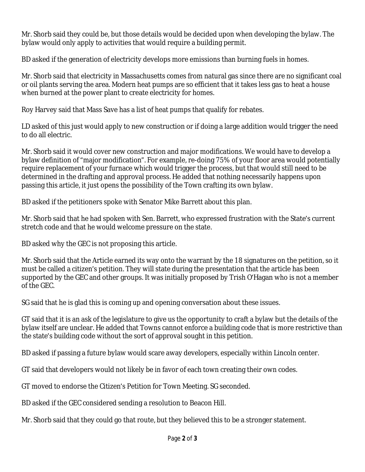Mr. Shorb said they could be, but those details would be decided upon when developing the bylaw. The bylaw would only apply to activities that would require a building permit.

BD asked if the generation of electricity develops more emissions than burning fuels in homes.

Mr. Shorb said that electricity in Massachusetts comes from natural gas since there are no significant coal or oil plants serving the area. Modern heat pumps are so efficient that it takes less gas to heat a house when burned at the power plant to create electricity for homes.

Roy Harvey said that Mass Save has a list of heat pumps that qualify for rebates.

LD asked of this just would apply to new construction or if doing a large addition would trigger the need to do all electric.

Mr. Shorb said it would cover new construction and major modifications. We would have to develop a bylaw definition of "major modification". For example, re-doing 75% of your floor area would potentially require replacement of your furnace which would trigger the process, but that would still need to be determined in the drafting and approval process. He added that nothing necessarily happens upon passing this article, it just opens the possibility of the Town crafting its own bylaw.

BD asked if the petitioners spoke with Senator Mike Barrett about this plan.

Mr. Shorb said that he had spoken with Sen. Barrett, who expressed frustration with the State's current stretch code and that he would welcome pressure on the state.

BD asked why the GEC is not proposing this article.

Mr. Shorb said that the Article earned its way onto the warrant by the 18 signatures on the petition, so it must be called a citizen's petition. They will state during the presentation that the article has been supported by the GEC and other groups. It was initially proposed by Trish O'Hagan who is not a member of the GEC.

SG said that he is glad this is coming up and opening conversation about these issues.

GT said that it is an ask of the legislature to give us the opportunity to craft a bylaw but the details of the bylaw itself are unclear. He added that Towns cannot enforce a building code that is more restrictive than the state's building code without the sort of approval sought in this petition.

BD asked if passing a future bylaw would scare away developers, especially within Lincoln center.

GT said that developers would not likely be in favor of each town creating their own codes.

GT moved to endorse the Citizen's Petition for Town Meeting. SG seconded.

BD asked if the GEC considered sending a resolution to Beacon Hill.

Mr. Shorb said that they could go that route, but they believed this to be a stronger statement.